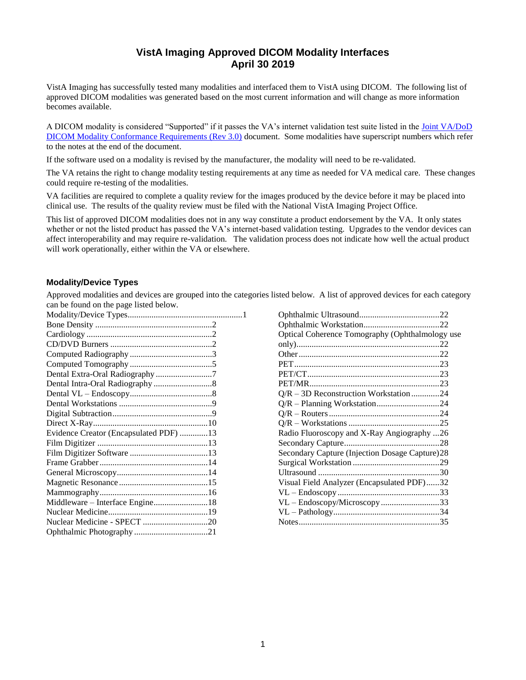# **VistA Imaging Approved DICOM Modality Interfaces April 30 2019**

VistA Imaging has successfully tested many modalities and interfaced them to VistA using DICOM. The following list of approved DICOM modalities was generated based on the most current information and will change as more information becomes available.

A DICOM modality is considered "Supported" if it passes the VA's internet validation test suite listed in the [Joint VA/DoD](http://www.va.gov/imaging/docs/Joint_DICOM_Req_Doc_V_3_0_upd.pdf)  [DICOM Modality Conformance Requirements \(Rev 3.0\)](http://www.va.gov/imaging/docs/Joint_DICOM_Req_Doc_V_3_0_upd.pdf) document. Some modalities have superscript numbers which refer to the notes at the end of the document.

If the software used on a modality is revised by the manufacturer, the modality will need to be re-validated.

The VA retains the right to change modality testing requirements at any time as needed for VA medical care. These changes could require re-testing of the modalities.

VA facilities are required to complete a quality review for the images produced by the device before it may be placed into clinical use. The results of the quality review must be filed with the National VistA Imaging Project Office.

This list of approved DICOM modalities does not in any way constitute a product endorsement by the VA. It only states whether or not the listed product has passed the VA's internet-based validation testing. Upgrades to the vendor devices can affect interoperability and may require re-validation. The validation process does not indicate how well the actual product will work operationally, either within the VA or elsewhere.

#### <span id="page-0-0"></span>**Modality/Device Types**

Approved modalities and devices are grouped into the categories listed below. A list of approved devices for each category can be found on the page listed below.

| Evidence Creator (Encapsulated PDF) 13 |  |
|----------------------------------------|--|
|                                        |  |
|                                        |  |
|                                        |  |
|                                        |  |
|                                        |  |
|                                        |  |
| Middleware - Interface Engine18        |  |
|                                        |  |
| Nuclear Medicine - SPECT 20            |  |
|                                        |  |

| Optical Coherence Tomography (Ophthalmology use |  |
|-------------------------------------------------|--|
|                                                 |  |
|                                                 |  |
|                                                 |  |
|                                                 |  |
|                                                 |  |
| Q/R - 3D Reconstruction Workstation24           |  |
|                                                 |  |
|                                                 |  |
|                                                 |  |
| Radio Fluoroscopy and X-Ray Angiography 26      |  |
|                                                 |  |
| Secondary Capture (Injection Dosage Capture)28  |  |
|                                                 |  |
|                                                 |  |
| Visual Field Analyzer (Encapsulated PDF)32      |  |
|                                                 |  |
| VL - Endoscopy/Microscopy33                     |  |
|                                                 |  |
|                                                 |  |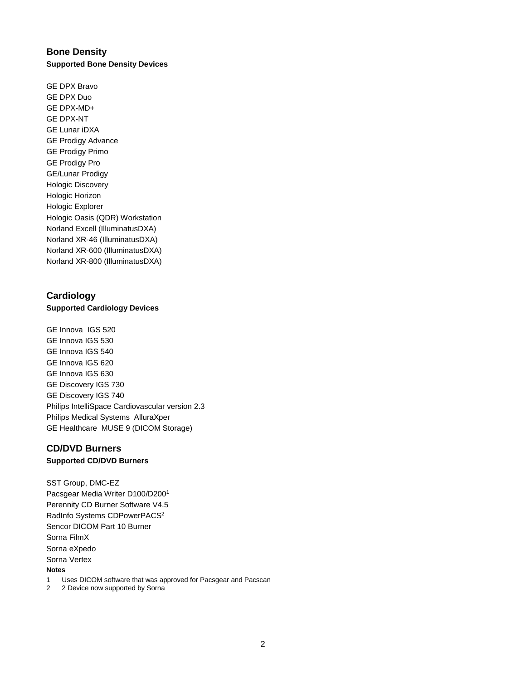# <span id="page-1-0"></span>**Bone Density Supported Bone Density Devices**

GE DPX Bravo GE DPX Duo GE DPX-MD+ GE DPX-NT GE Lunar iDXA GE Prodigy Advance GE Prodigy Primo GE Prodigy Pro GE/Lunar Prodigy Hologic Discovery Hologic Horizon Hologic Explorer Hologic Oasis (QDR) Workstation Norland Excell (IlluminatusDXA) Norland XR-46 (IlluminatusDXA) Norland XR-600 (IlluminatusDXA) Norland XR-800 (IlluminatusDXA)

# <span id="page-1-1"></span>**Cardiology**

# **Supported Cardiology Devices**

GE Innova IGS 520 GE Innova IGS 530 GE Innova IGS 540 GE Innova IGS 620 GE Innova IGS 630 GE Discovery IGS 730 GE Discovery IGS 740 Philips IntelliSpace Cardiovascular version 2.3 Philips Medical Systems AlluraXper GE Healthcare MUSE 9 (DICOM Storage)

#### <span id="page-1-2"></span>**CD/DVD Burners Supported CD/DVD Burners**

SST Group, DMC-EZ Pacsgear Media Writer D100/D200<sup>1</sup> Perennity CD Burner Software V4.5 RadInfo Systems CDPowerPACS<sup>2</sup> Sencor DICOM Part 10 Burner Sorna FilmX Sorna eXpedo Sorna Vertex

#### **Notes**

- 1 Uses DICOM software that was approved for Pacsgear and Pacscan
- 2 2 Device now supported by Sorna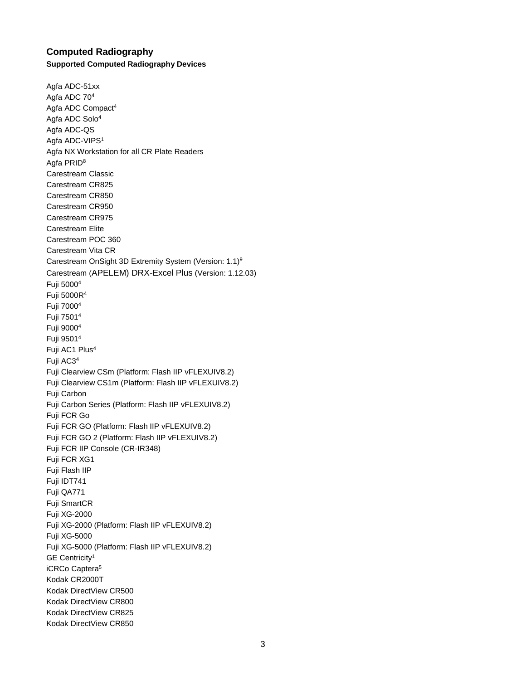### <span id="page-2-0"></span>**Computed Radiography Supported Computed Radiography Devices**

Agfa ADC-51xx Agfa ADC 70<sup>4</sup> Agfa ADC Compact<sup>4</sup> Agfa ADC Solo<sup>4</sup> Agfa ADC-QS Agfa ADC-VIPS<sup>1</sup> Agfa NX Workstation for all CR Plate Readers Agfa PRID<sup>8</sup> Carestream Classic Carestream CR825 Carestream CR850 Carestream CR950 Carestream CR975 Carestream Elite Carestream POC 360 Carestream Vita CR Carestream OnSight 3D Extremity System (Version: 1.1)<sup>9</sup> Carestream (APELEM) DRX-Excel Plus (Version: 1.12.03) Fuji 5000<sup>4</sup> Fuji 5000R<sup>4</sup> Fuji 7000<sup>4</sup> Fuji 7501<sup>4</sup> Fuji 9000<sup>4</sup> Fuji 9501<sup>4</sup> Fuji AC1 Plus<sup>4</sup> Fuji AC3<sup>4</sup> Fuji Clearview CSm (Platform: Flash IIP vFLEXUIV8.2) Fuji Clearview CS1m (Platform: Flash IIP vFLEXUIV8.2) Fuji Carbon Fuji Carbon Series (Platform: Flash IIP vFLEXUIV8.2) Fuji FCR Go Fuji FCR GO (Platform: Flash IIP vFLEXUIV8.2) Fuji FCR GO 2 (Platform: Flash IIP vFLEXUIV8.2) Fuji FCR IIP Console (CR-IR348) Fuji FCR XG1 Fuji Flash IIP Fuji IDT741 Fuji QA771 Fuji SmartCR Fuji XG-2000 Fuji XG-2000 (Platform: Flash IIP vFLEXUIV8.2) Fuji XG-5000 Fuji XG-5000 (Platform: Flash IIP vFLEXUIV8.2) GE Centricity<sup>1</sup> iCRCo Captera<sup>5</sup> Kodak CR2000T Kodak DirectView CR500 Kodak DirectView CR800 Kodak DirectView CR825 Kodak DirectView CR850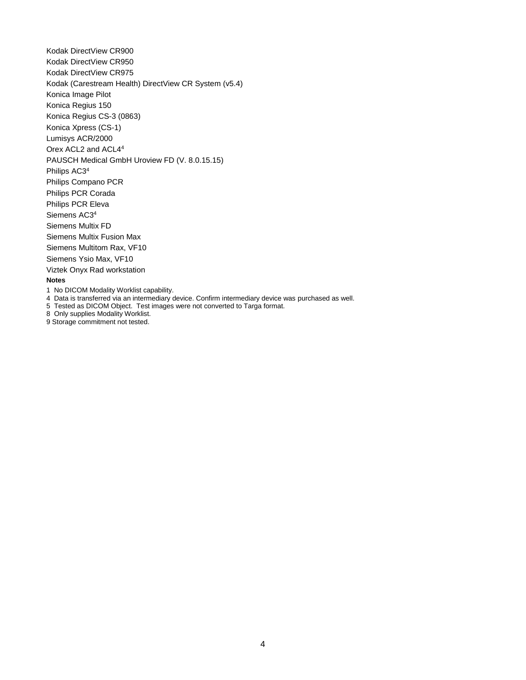Kodak DirectView CR900 Kodak DirectView CR950 Kodak DirectView CR975 Kodak (Carestream Health) DirectView CR System (v5.4) Konica Image Pilot Konica Regius 150 Konica Regius CS-3 (0863) Konica Xpress (CS-1) Lumisys ACR/2000 Orex ACL2 and ACL4<sup>4</sup> PAUSCH Medical GmbH Uroview FD (V. 8.0.15.15) Philips AC3<sup>4</sup> Philips Compano PCR Philips PCR Corada Philips PCR Eleva Siemens AC3<sup>4</sup> Siemens Multix FD Siemens Multix Fusion Max Siemens Multitom Rax, VF10 Siemens Ysio Max, VF10 Viztek Onyx Rad workstation **Notes** 1 No DICOM Modality Worklist capability.

4 Data is transferred via an intermediary device. Confirm intermediary device was purchased as well.

5 Tested as DICOM Object. Test images were not converted to Targa format.

8 Only supplies Modality Worklist.

9 Storage commitment not tested.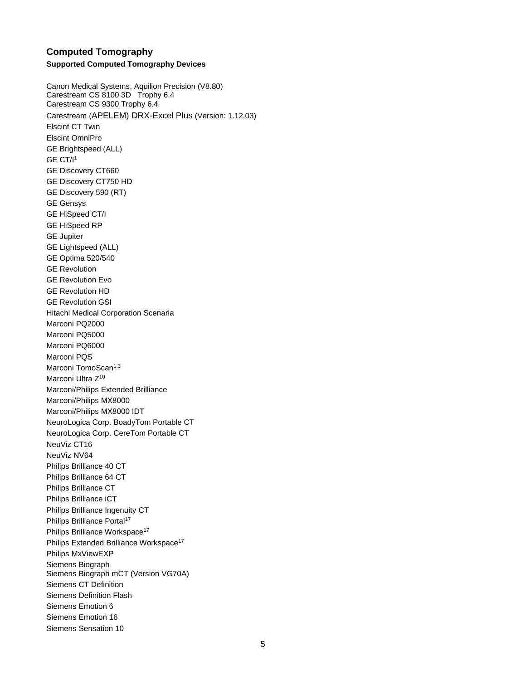### <span id="page-4-0"></span>**Computed Tomography Supported Computed Tomography Devices**

Canon Medical Systems, Aquilion Precision (V8.80) Carestream CS 8100 3D Trophy 6.4 Carestream CS 9300 Trophy 6.4 Carestream (APELEM) DRX-Excel Plus (Version: 1.12.03) Elscint CT Twin Elscint OmniPro GE Brightspeed (ALL) GE CT/I<sup>1</sup> GE Discovery CT660 GE Discovery CT750 HD GE Discovery 590 (RT) GE Gensys GE HiSpeed CT/I GE HiSpeed RP GE Jupiter GE Lightspeed (ALL) GE Optima 520/540 GE Revolution GE Revolution Evo GE Revolution HD GE Revolution GSI Hitachi Medical Corporation Scenaria Marconi PQ2000 Marconi PQ5000 Marconi PQ6000 Marconi PQS Marconi TomoScan<sup>1,3</sup> Marconi Ultra Z<sup>10</sup> Marconi/Philips Extended Brilliance Marconi/Philips MX8000 Marconi/Philips MX8000 IDT NeuroLogica Corp. BoadyTom Portable CT NeuroLogica Corp. CereTom Portable CT NeuViz CT16 NeuViz NV64 Philips Brilliance 40 CT Philips Brilliance 64 CT Philips Brilliance CT Philips Brilliance iCT Philips Brilliance Ingenuity CT Philips Brilliance Portal<sup>17</sup> Philips Brilliance Workspace<sup>17</sup> Philips Extended Brilliance Workspace<sup>17</sup> Philips MxViewEXP Siemens Biograph Siemens Biograph mCT (Version VG70A) Siemens CT Definition Siemens Definition Flash Siemens Emotion 6 Siemens Emotion 16 Siemens Sensation 10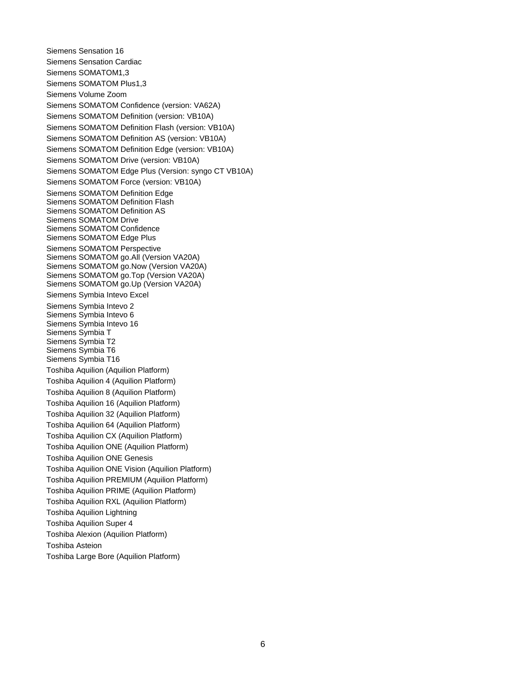Siemens Sensation 16 Siemens Sensation Cardiac Siemens SOMATOM1,3 Siemens SOMATOM Plus1,3 Siemens Volume Zoom Siemens SOMATOM Confidence (version: VA62A) Siemens SOMATOM Definition (version: VB10A) Siemens SOMATOM Definition Flash (version: VB10A) Siemens SOMATOM Definition AS (version: VB10A) Siemens SOMATOM Definition Edge (version: VB10A) Siemens SOMATOM Drive (version: VB10A) Siemens SOMATOM Edge Plus (Version: syngo CT VB10A) Siemens SOMATOM Force (version: VB10A) Siemens SOMATOM Definition Edge Siemens SOMATOM Definition Flash Siemens SOMATOM Definition AS Siemens SOMATOM Drive Siemens SOMATOM Confidence Siemens SOMATOM Edge Plus Siemens SOMATOM Perspective Siemens SOMATOM go.All (Version VA20A) Siemens SOMATOM go.Now (Version VA20A) Siemens SOMATOM go.Top (Version VA20A) Siemens SOMATOM go.Up (Version VA20A) Siemens Symbia Intevo Excel Siemens Symbia Intevo 2 Siemens Symbia Intevo 6 Siemens Symbia Intevo 16 Siemens Symbia T Siemens Symbia T2 Siemens Symbia T6 Siemens Symbia T16 Toshiba Aquilion (Aquilion Platform) Toshiba Aquilion 4 (Aquilion Platform) Toshiba Aquilion 8 (Aquilion Platform) Toshiba Aquilion 16 (Aquilion Platform) Toshiba Aquilion 32 (Aquilion Platform) Toshiba Aquilion 64 (Aquilion Platform) Toshiba Aquilion CX (Aquilion Platform) Toshiba Aquilion ONE (Aquilion Platform) Toshiba Aquilion ONE Genesis Toshiba Aquilion ONE Vision (Aquilion Platform) Toshiba Aquilion PREMIUM (Aquilion Platform) Toshiba Aquilion PRIME (Aquilion Platform) Toshiba Aquilion RXL (Aquilion Platform) Toshiba Aquilion Lightning Toshiba Aquilion Super 4 Toshiba Alexion (Aquilion Platform) Toshiba Asteion Toshiba Large Bore (Aquilion Platform)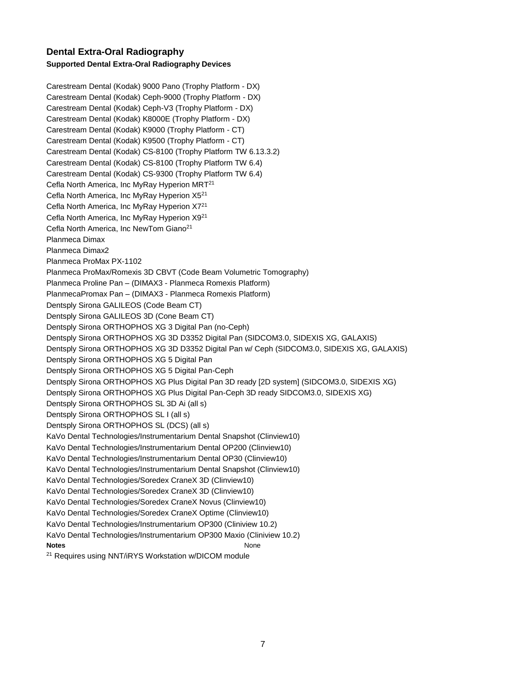# <span id="page-6-0"></span>**Dental Extra-Oral Radiography Supported Dental Extra-Oral Radiography Devices**

Carestream Dental (Kodak) 9000 Pano (Trophy Platform - DX) Carestream Dental (Kodak) Ceph-9000 (Trophy Platform - DX) Carestream Dental (Kodak) Ceph-V3 (Trophy Platform - DX) Carestream Dental (Kodak) K8000E (Trophy Platform - DX) Carestream Dental (Kodak) K9000 (Trophy Platform - CT) Carestream Dental (Kodak) K9500 (Trophy Platform - CT) Carestream Dental (Kodak) CS-8100 (Trophy Platform TW 6.13.3.2) Carestream Dental (Kodak) CS-8100 (Trophy Platform TW 6.4) Carestream Dental (Kodak) CS-9300 (Trophy Platform TW 6.4) Cefla North America, Inc MyRay Hyperion MRT<sup>21</sup> Cefla North America, Inc MyRay Hyperion X5<sup>21</sup> Cefla North America, Inc MyRay Hyperion X7<sup>21</sup> Cefla North America, Inc MyRay Hyperion X9<sup>21</sup> Cefla North America, Inc NewTom Giano<sup>21</sup> Planmeca Dimax Planmeca Dimax2 Planmeca ProMax PX-1102 Planmeca ProMax/Romexis 3D CBVT (Code Beam Volumetric Tomography) Planmeca Proline Pan – (DIMAX3 - Planmeca Romexis Platform) PlanmecaPromax Pan – (DIMAX3 - Planmeca Romexis Platform) Dentsply Sirona GALILEOS (Code Beam CT) Dentsply Sirona GALILEOS 3D (Cone Beam CT) Dentsply Sirona ORTHOPHOS XG 3 Digital Pan (no-Ceph) Dentsply Sirona ORTHOPHOS XG 3D D3352 Digital Pan (SIDCOM3.0, SIDEXIS XG, GALAXIS) Dentsply Sirona ORTHOPHOS XG 3D D3352 Digital Pan w/ Ceph (SIDCOM3.0, SIDEXIS XG, GALAXIS) Dentsply Sirona ORTHOPHOS XG 5 Digital Pan Dentsply Sirona ORTHOPHOS XG 5 Digital Pan-Ceph Dentsply Sirona ORTHOPHOS XG Plus Digital Pan 3D ready [2D system] (SIDCOM3.0, SIDEXIS XG) Dentsply Sirona ORTHOPHOS XG Plus Digital Pan-Ceph 3D ready SIDCOM3.0, SIDEXIS XG) Dentsply Sirona ORTHOPHOS SL 3D Ai (all s) Dentsply Sirona ORTHOPHOS SL I (all s) Dentsply Sirona ORTHOPHOS SL (DCS) (all s) KaVo Dental Technologies/Instrumentarium Dental Snapshot (Clinview10) KaVo Dental Technologies/Instrumentarium Dental OP200 (Clinview10) KaVo Dental Technologies/Instrumentarium Dental OP30 (Clinview10) KaVo Dental Technologies/Instrumentarium Dental Snapshot (Clinview10) KaVo Dental Technologies/Soredex CraneX 3D (Clinview10) KaVo Dental Technologies/Soredex CraneX 3D (Clinview10) KaVo Dental Technologies/Soredex CraneX Novus (Clinview10) KaVo Dental Technologies/Soredex CraneX Optime (Clinview10) KaVo Dental Technologies/Instrumentarium OP300 (Cliniview 10.2) KaVo Dental Technologies/Instrumentarium OP300 Maxio (Cliniview 10.2) **Notes** None <sup>21</sup> Requires using NNT/iRYS Workstation w/DICOM module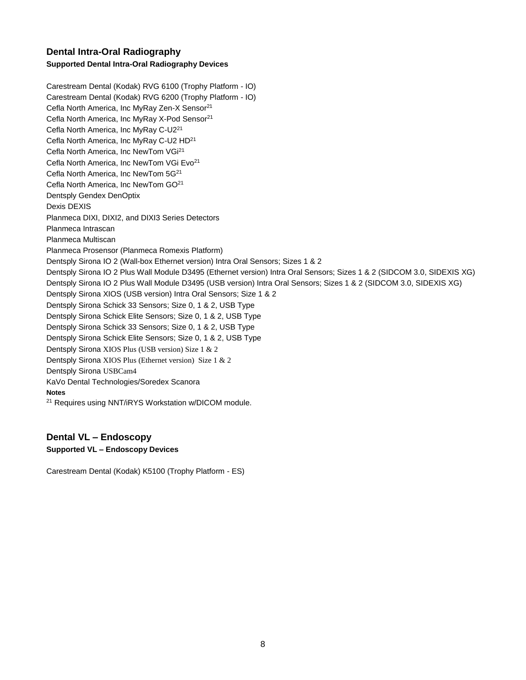# <span id="page-7-0"></span>**Dental Intra-Oral Radiography Supported Dental Intra-Oral Radiography Devices**

Carestream Dental (Kodak) RVG 6100 (Trophy Platform - IO) Carestream Dental (Kodak) RVG 6200 (Trophy Platform - IO) Cefla North America, Inc MyRay Zen-X Sensor<sup>21</sup> Cefla North America, Inc MyRay X-Pod Sensor<sup>21</sup> Cefla North America, Inc MyRay C-U2<sup>21</sup> Cefla North America, Inc MyRay C-U2 HD<sup>21</sup> Cefla North America, Inc NewTom VGi<sup>21</sup> Cefla North America, Inc NewTom VGi Evo<sup>21</sup> Cefla North America, Inc NewTom 5G<sup>21</sup> Cefla North America, Inc NewTom GO<sup>21</sup> Dentsply Gendex DenOptix Dexis DEXIS Planmeca DIXI, DIXI2, and DIXI3 Series Detectors Planmeca Intrascan Planmeca Multiscan Planmeca Prosensor (Planmeca Romexis Platform) Dentsply Sirona IO 2 (Wall-box Ethernet version) Intra Oral Sensors; Sizes 1 & 2 Dentsply Sirona IO 2 Plus Wall Module D3495 (Ethernet version) Intra Oral Sensors; Sizes 1 & 2 (SIDCOM 3.0, SIDEXIS XG) Dentsply Sirona IO 2 Plus Wall Module D3495 (USB version) Intra Oral Sensors; Sizes 1 & 2 (SIDCOM 3.0, SIDEXIS XG) Dentsply Sirona XIOS (USB version) Intra Oral Sensors; Size 1 & 2 Dentsply Sirona Schick 33 Sensors; Size 0, 1 & 2, USB Type Dentsply Sirona Schick Elite Sensors; Size 0, 1 & 2, USB Type Dentsply Sirona Schick 33 Sensors; Size 0, 1 & 2, USB Type Dentsply Sirona Schick Elite Sensors; Size 0, 1 & 2, USB Type Dentsply Sirona XIOS Plus (USB version) Size 1 & 2 Dentsply Sirona XIOS Plus (Ethernet version) Size 1 & 2 Dentsply Sirona USBCam4 KaVo Dental Technologies/Soredex Scanora **Notes** <sup>21</sup> Requires using NNT/iRYS Workstation w/DICOM module.

# <span id="page-7-1"></span>**Dental VL – Endoscopy**

# **Supported VL – Endoscopy Devices**

Carestream Dental (Kodak) K5100 (Trophy Platform - ES)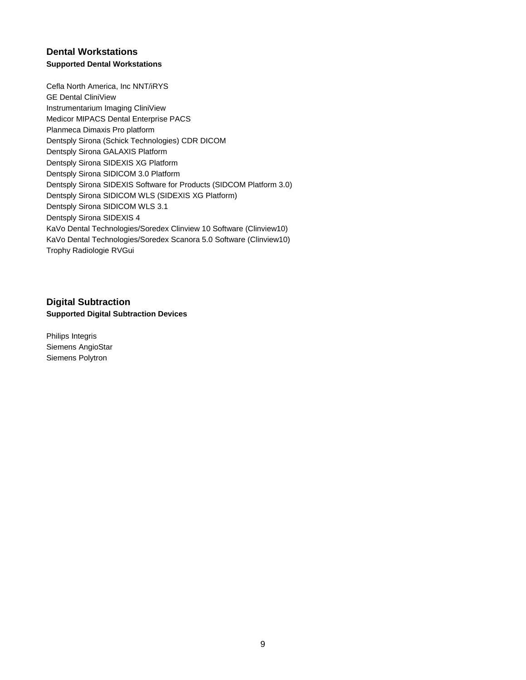# <span id="page-8-0"></span>**Dental Workstations Supported Dental Workstations**

Cefla North America, Inc NNT/iRYS GE Dental CliniView Instrumentarium Imaging CliniView Medicor MIPACS Dental Enterprise PACS Planmeca Dimaxis Pro platform Dentsply Sirona (Schick Technologies) CDR DICOM Dentsply Sirona GALAXIS Platform Dentsply Sirona SIDEXIS XG Platform Dentsply Sirona SIDICOM 3.0 Platform Dentsply Sirona SIDEXIS Software for Products (SIDCOM Platform 3.0) Dentsply Sirona SIDICOM WLS (SIDEXIS XG Platform) Dentsply Sirona SIDICOM WLS 3.1 Dentsply Sirona SIDEXIS 4 KaVo Dental Technologies/Soredex Clinview 10 Software (Clinview10) KaVo Dental Technologies/Soredex Scanora 5.0 Software (Clinview10) Trophy Radiologie RVGui

<span id="page-8-1"></span>**Digital Subtraction Supported Digital Subtraction Devices**

Philips Integris Siemens AngioStar Siemens Polytron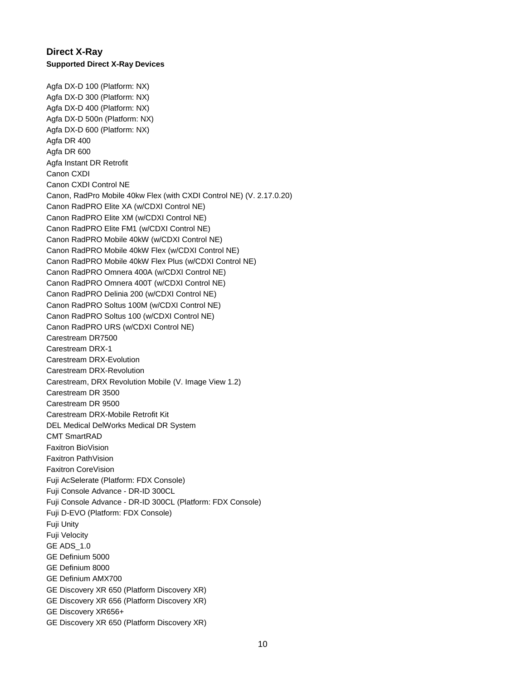# <span id="page-9-0"></span>**Direct X-Ray Supported Direct X-Ray Devices**

Agfa DX-D 100 (Platform: NX) Agfa DX-D 300 (Platform: NX) Agfa DX-D 400 (Platform: NX) Agfa DX-D 500n (Platform: NX) Agfa DX-D 600 (Platform: NX) Agfa DR 400 Agfa DR 600 Agfa Instant DR Retrofit Canon CXDI Canon CXDI Control NE Canon, RadPro Mobile 40kw Flex (with CXDI Control NE) (V. 2.17.0.20) Canon RadPRO Elite XA (w/CDXI Control NE) Canon RadPRO Elite XM (w/CDXI Control NE) Canon RadPRO Elite FM1 (w/CDXI Control NE) Canon RadPRO Mobile 40kW (w/CDXI Control NE) Canon RadPRO Mobile 40kW Flex (w/CDXI Control NE) Canon RadPRO Mobile 40kW Flex Plus (w/CDXI Control NE) Canon RadPRO Omnera 400A (w/CDXI Control NE) Canon RadPRO Omnera 400T (w/CDXI Control NE) Canon RadPRO Delinia 200 (w/CDXI Control NE) Canon RadPRO Soltus 100M (w/CDXI Control NE) Canon RadPRO Soltus 100 (w/CDXI Control NE) Canon RadPRO URS (w/CDXI Control NE) Carestream DR7500 Carestream DRX-1 Carestream DRX-Evolution Carestream DRX-Revolution Carestream, DRX Revolution Mobile (V. Image View 1.2) Carestream DR 3500 Carestream DR 9500 Carestream DRX-Mobile Retrofit Kit DEL Medical DelWorks Medical DR System CMT SmartRAD Faxitron BioVision Faxitron PathVision Faxitron CoreVision Fuji AcSelerate (Platform: FDX Console) Fuji Console Advance - DR-ID 300CL Fuji Console Advance - DR-ID 300CL (Platform: FDX Console) Fuji D-EVO (Platform: FDX Console) Fuji Unity Fuji Velocity GE ADS\_1.0 GE Definium 5000 GE Definium 8000 GE Definium AMX700 GE Discovery XR 650 (Platform Discovery XR) GE Discovery XR 656 (Platform Discovery XR) GE Discovery XR656+ GE Discovery XR 650 (Platform Discovery XR)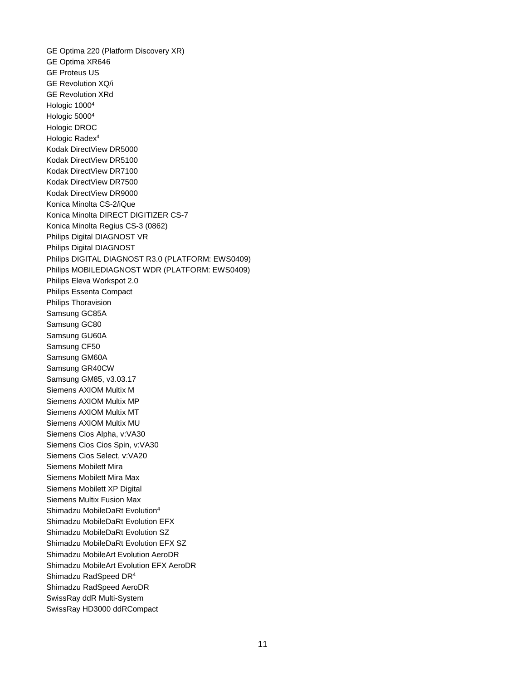GE Optima 220 (Platform Discovery XR) GE Optima XR646 GE Proteus US GE Revolution XQ/i GE Revolution XRd Hologic 1000<sup>4</sup> Hologic 5000<sup>4</sup> Hologic DROC Hologic Radex<sup>4</sup> Kodak DirectView DR5000 Kodak DirectView DR5100 Kodak DirectView DR7100 Kodak DirectView DR7500 Kodak DirectView DR9000 Konica Minolta CS-2/iQue Konica Minolta DIRECT DIGITIZER CS-7 Konica Minolta Regius CS-3 (0862) Philips Digital DIAGNOST VR Philips Digital DIAGNOST Philips DIGITAL DIAGNOST R3.0 (PLATFORM: EWS0409) Philips MOBILEDIAGNOST WDR (PLATFORM: EWS0409) Philips Eleva Workspot 2.0 Philips Essenta Compact Philips Thoravision Samsung GC85A Samsung GC80 Samsung GU60A Samsung CF50 Samsung GM60A Samsung GR40CW Samsung GM85, v3.03.17 Siemens AXIOM Multix M Siemens AXIOM Multix MP Siemens AXIOM Multix MT Siemens AXIOM Multix MU Siemens Cios Alpha, v:VA30 Siemens Cios Cios Spin, v:VA30 Siemens Cios Select, v:VA20 Siemens Mobilett Mira Siemens Mobilett Mira Max Siemens Mobilett XP Digital Siemens Multix Fusion Max Shimadzu MobileDaRt Evolution<sup>4</sup> Shimadzu MobileDaRt Evolution EFX Shimadzu MobileDaRt Evolution SZ Shimadzu MobileDaRt Evolution EFX SZ Shimadzu MobileArt Evolution AeroDR Shimadzu MobileArt Evolution EFX AeroDR Shimadzu RadSpeed DR<sup>4</sup> Shimadzu RadSpeed AeroDR SwissRay ddR Multi-System SwissRay HD3000 ddRCompact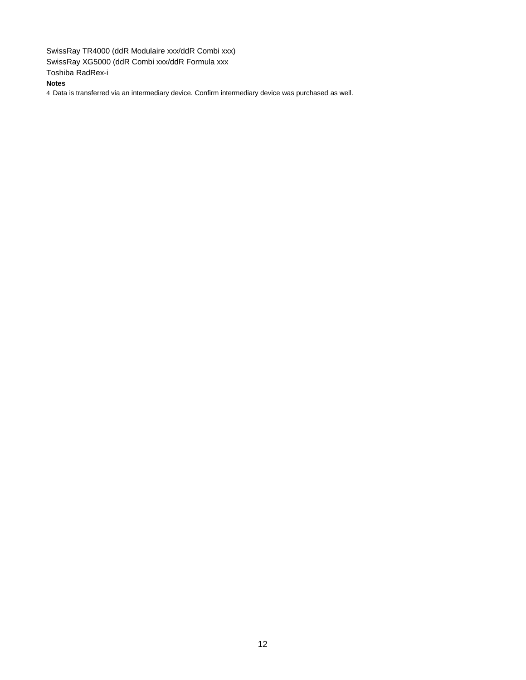SwissRay TR4000 (ddR Modulaire xxx/ddR Combi xxx) SwissRay XG5000 (ddR Combi xxx/ddR Formula xxx Toshiba RadRex-i

**Notes**

4 Data is transferred via an intermediary device. Confirm intermediary device was purchased as well.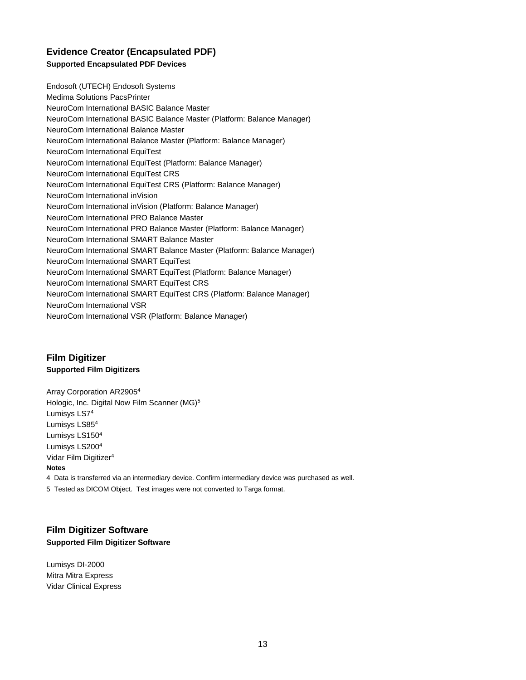# <span id="page-12-0"></span>**Evidence Creator (Encapsulated PDF) Supported Encapsulated PDF Devices**

Endosoft (UTECH) Endosoft Systems Medima Solutions PacsPrinter NeuroCom International BASIC Balance Master NeuroCom International BASIC Balance Master (Platform: Balance Manager) NeuroCom International Balance Master NeuroCom International Balance Master (Platform: Balance Manager) NeuroCom International EquiTest NeuroCom International EquiTest (Platform: Balance Manager) NeuroCom International EquiTest CRS NeuroCom International EquiTest CRS (Platform: Balance Manager) NeuroCom International inVision NeuroCom International inVision (Platform: Balance Manager) NeuroCom International PRO Balance Master NeuroCom International PRO Balance Master (Platform: Balance Manager) NeuroCom International SMART Balance Master NeuroCom International SMART Balance Master (Platform: Balance Manager) NeuroCom International SMART EquiTest NeuroCom International SMART EquiTest (Platform: Balance Manager) NeuroCom International SMART EquiTest CRS NeuroCom International SMART EquiTest CRS (Platform: Balance Manager) NeuroCom International VSR NeuroCom International VSR (Platform: Balance Manager)

# <span id="page-12-1"></span>**Film Digitizer Supported Film Digitizers**

Array Corporation AR2905<sup>4</sup> Hologic, Inc. Digital Now Film Scanner (MG)<sup>5</sup> Lumisys LS7<sup>4</sup> Lumisys LS85<sup>4</sup> Lumisys LS150<sup>4</sup> Lumisys LS200<sup>4</sup> Vidar Film Digitizer<sup>4</sup> **Notes** 4 Data is transferred via an intermediary device. Confirm intermediary device was purchased as well. 5 Tested as DICOM Object. Test images were not converted to Targa format.

### <span id="page-12-2"></span>**Film Digitizer Software Supported Film Digitizer Software**

Lumisys DI-2000 Mitra Mitra Express Vidar Clinical Express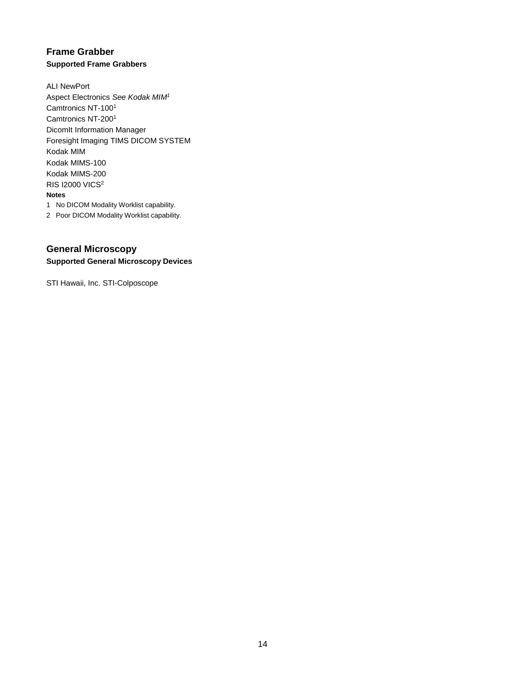# <span id="page-13-0"></span>**Frame Grabber Supported Frame Grabbers**

ALI NewPort Aspect Electronics *See Kodak MIM<sup>1</sup>* Camtronics NT-100<sup>1</sup> Camtronics NT-200<sup>1</sup> DicomIt Information Manager Foresight Imaging TIMS DICOM SYSTEM Kodak MIM Kodak MIMS-100 Kodak MIMS-200 RIS I2000 VICS<sup>2</sup> **Notes** 1 No DICOM Modality Worklist capability.

2 Poor DICOM Modality Worklist capability.

# <span id="page-13-1"></span>**General Microscopy Supported General Microscopy Devices**

STI Hawaii, Inc. STI-Colposcope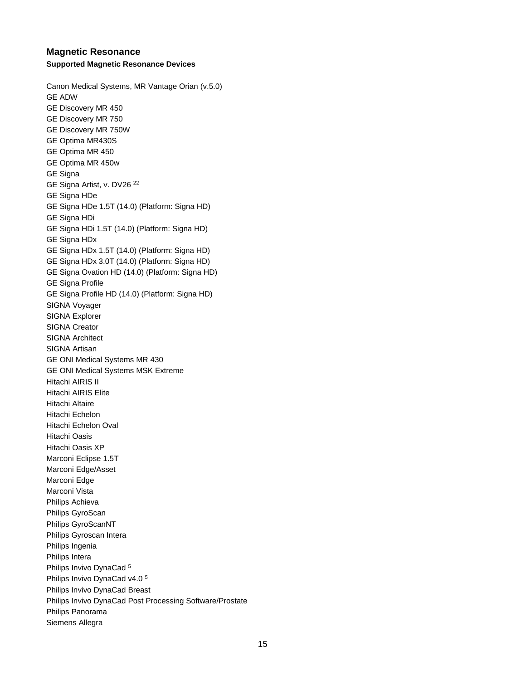### <span id="page-14-0"></span>**Magnetic Resonance Supported Magnetic Resonance Devices**

Canon Medical Systems, MR Vantage Orian (v.5.0) GE ADW GE Discovery MR 450 GE Discovery MR 750 GE Discovery MR 750W GE Optima MR430S GE Optima MR 450 GE Optima MR 450w GE Signa GE Signa Artist, v. DV26 <sup>22</sup> GE Signa HDe GE Signa HDe 1.5T (14.0) (Platform: Signa HD) GE Signa HDi GE Signa HDi 1.5T (14.0) (Platform: Signa HD) GE Signa HDx GE Signa HDx 1.5T (14.0) (Platform: Signa HD) GE Signa HDx 3.0T (14.0) (Platform: Signa HD) GE Signa Ovation HD (14.0) (Platform: Signa HD) GE Signa Profile GE Signa Profile HD (14.0) (Platform: Signa HD) SIGNA Voyager SIGNA Explorer SIGNA Creator SIGNA Architect SIGNA Artisan GE ONI Medical Systems MR 430 GE ONI Medical Systems MSK Extreme Hitachi AIRIS II Hitachi AIRIS Elite Hitachi Altaire Hitachi Echelon Hitachi Echelon Oval Hitachi Oasis Hitachi Oasis XP Marconi Eclipse 1.5T Marconi Edge/Asset Marconi Edge Marconi Vista Philips Achieva Philips GyroScan Philips GyroScanNT Philips Gyroscan Intera Philips Ingenia Philips Intera Philips Invivo DynaCad <sup>5</sup> Philips Invivo DynaCad v4.0 <sup>5</sup> Philips Invivo DynaCad Breast Philips Invivo DynaCad Post Processing Software/Prostate Philips Panorama Siemens Allegra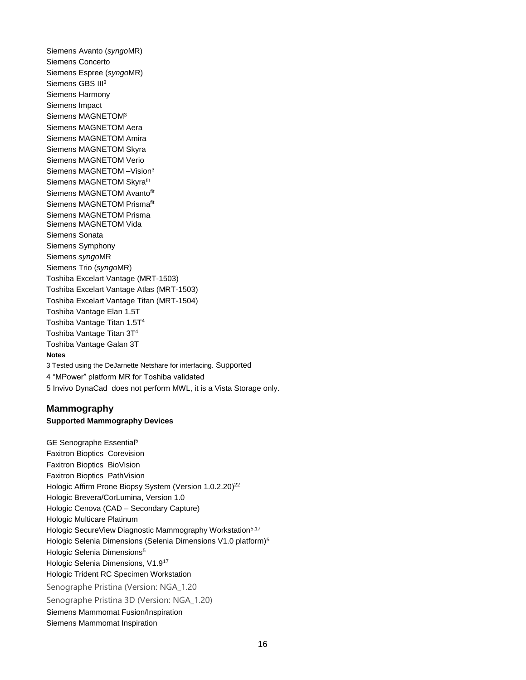Siemens Avanto (*syngo*MR) Siemens Concerto Siemens Espree (*syngo*MR) Siemens GBS III<sup>3</sup> Siemens Harmony Siemens Impact Siemens MAGNETOM<sup>3</sup> Siemens MAGNETOM Aera Siemens MAGNETOM Amira Siemens MAGNETOM Skyra Siemens MAGNETOM Verio Siemens MAGNETOM –Vision<sup>3</sup> Siemens MAGNETOM Skyrafit Siemens MAGNETOM Avantofit Siemens MAGNETOM Prismafit Siemens MAGNETOM Prisma Siemens MAGNETOM Vida Siemens Sonata Siemens Symphony Siemens *syngo*MR Siemens Trio (*syngo*MR) Toshiba Excelart Vantage (MRT-1503) Toshiba Excelart Vantage Atlas (MRT-1503) Toshiba Excelart Vantage Titan (MRT-1504) Toshiba Vantage Elan 1.5T Toshiba Vantage Titan 1.5T<sup>4</sup> Toshiba Vantage Titan 3T<sup>4</sup> Toshiba Vantage Galan 3T **Notes** 3 Tested using the DeJarnette Netshare for interfacing. Supported 4 "MPower" platform MR for Toshiba validated 5 Invivo DynaCad does not perform MWL, it is a Vista Storage only.

### <span id="page-15-0"></span>**Mammography**

#### **Supported Mammography Devices**

GE Senographe Essential<sup>5</sup> Faxitron Bioptics Corevision Faxitron Bioptics BioVision Faxitron Bioptics PathVision Hologic Affirm Prone Biopsy System (Version 1.0.2.20)<sup>22</sup> Hologic Brevera/CorLumina, Version 1.0 Hologic Cenova (CAD – Secondary Capture) Hologic Multicare Platinum Hologic SecureView Diagnostic Mammography Workstation<sup>5,17</sup> Hologic Selenia Dimensions (Selenia Dimensions V1.0 platform)<sup>5</sup> Hologic Selenia Dimensions<sup>5</sup> Hologic Selenia Dimensions, V1.9<sup>17</sup> Hologic Trident RC Specimen Workstation Senographe Pristina (Version: NGA\_1.20 Senographe Pristina 3D (Version: NGA\_1.20) Siemens Mammomat Fusion/Inspiration Siemens Mammomat Inspiration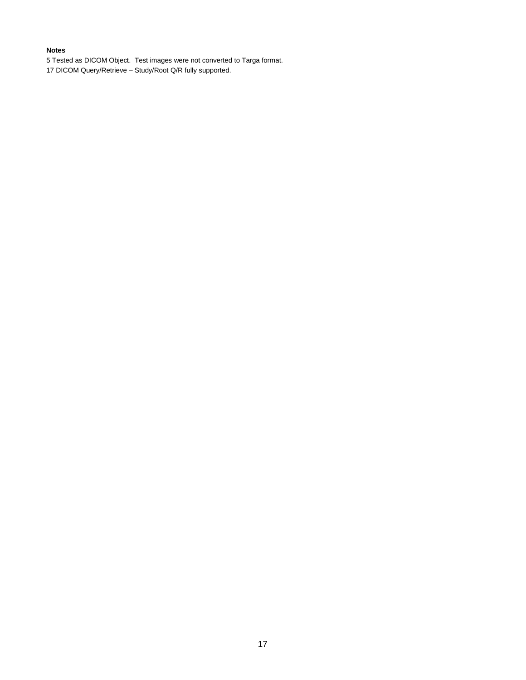#### **Notes**

5 Tested as DICOM Object. Test images were not converted to Targa format.

17 DICOM Query/Retrieve – Study/Root Q/R fully supported.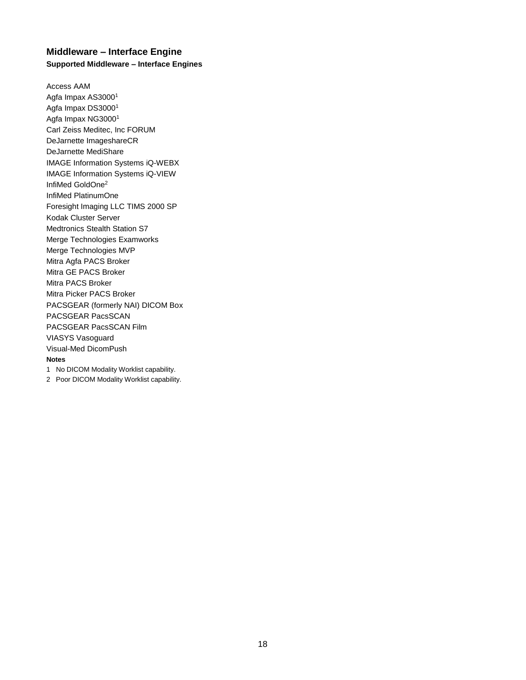# <span id="page-17-0"></span>**Middleware – Interface Engine Supported Middleware – Interface Engines**

Access AAM Agfa Impax AS3000<sup>1</sup> Agfa Impax DS3000<sup>1</sup> Agfa Impax NG3000<sup>1</sup> Carl Zeiss Meditec, Inc FORUM DeJarnette ImageshareCR DeJarnette MediShare IMAGE Information Systems iQ-WEBX IMAGE Information Systems iQ-VIEW InfiMed GoldOne<sup>2</sup> InfiMed PlatinumOne Foresight Imaging LLC TIMS 2000 SP Kodak Cluster Server Medtronics Stealth Station S7 Merge Technologies Examworks Merge Technologies MVP Mitra Agfa PACS Broker Mitra GE PACS Broker Mitra PACS Broker Mitra Picker PACS Broker PACSGEAR (formerly NAI) DICOM Box PACSGEAR PacsSCAN PACSGEAR PacsSCAN Film VIASYS Vasoguard Visual-Med DicomPush **Notes**

1 No DICOM Modality Worklist capability.

2 Poor DICOM Modality Worklist capability.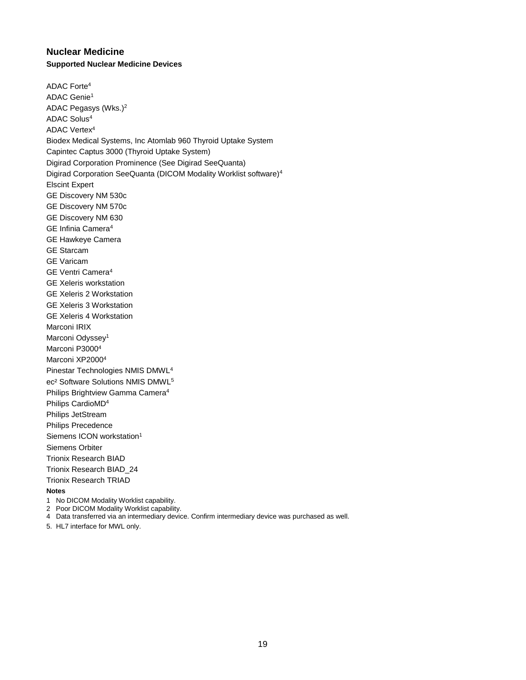# <span id="page-18-0"></span>**Nuclear Medicine Supported Nuclear Medicine Devices**

ADAC Forte<sup>4</sup> ADAC Genie<sup>1</sup> ADAC Pegasys (Wks.)<sup>2</sup> ADAC Solus<sup>4</sup> ADAC Vertex<sup>4</sup> Biodex Medical Systems, Inc Atomlab 960 Thyroid Uptake System Capintec Captus 3000 (Thyroid Uptake System) Digirad Corporation Prominence (See Digirad SeeQuanta) Digirad Corporation SeeQuanta (DICOM Modality Worklist software)<sup>4</sup> Elscint Expert GE Discovery NM 530c GE Discovery NM 570c GE Discovery NM 630 GE Infinia Camera<sup>4</sup> GE Hawkeye Camera GE Starcam GE Varicam GE Ventri Camera<sup>4</sup> GE Xeleris workstation GE Xeleris 2 Workstation GE Xeleris 3 Workstation GE Xeleris 4 Workstation Marconi IRIX Marconi Odyssey<sup>1</sup> Marconi P3000<sup>4</sup> Marconi XP2000<sup>4</sup> Pinestar Technologies NMIS DMWL<sup>4</sup> ec² Software Solutions NMIS DMWL<sup>5</sup> Philips Brightview Gamma Camera<sup>4</sup> Philips CardioMD<sup>4</sup> Philips JetStream Philips Precedence Siemens ICON workstation<sup>1</sup> Siemens Orbiter Trionix Research BIAD Trionix Research BIAD\_24 Trionix Research TRIAD **Notes**

- 1 No DICOM Modality Worklist capability.
- 2 Poor DICOM Modality Worklist capability.
- 4 Data transferred via an intermediary device. Confirm intermediary device was purchased as well.
- 5. HL7 interface for MWL only.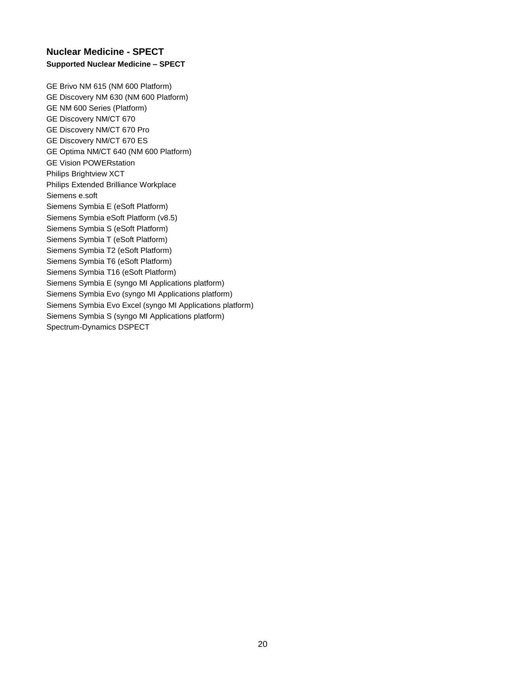# <span id="page-19-0"></span>**Nuclear Medicine - SPECT Supported Nuclear Medicine – SPECT**

GE Brivo NM 615 (NM 600 Platform) GE Discovery NM 630 (NM 600 Platform) GE NM 600 Series (Platform) GE Discovery NM/CT 670 GE Discovery NM/CT 670 Pro GE Discovery NM/CT 670 ES GE Optima NM/CT 640 (NM 600 Platform) GE Vision POWERstation Philips Brightview XCT Philips Extended Brilliance Workplace Siemens e.soft Siemens Symbia E (eSoft Platform) Siemens Symbia eSoft Platform (v8.5) Siemens Symbia S (eSoft Platform) Siemens Symbia T (eSoft Platform) Siemens Symbia T2 (eSoft Platform) Siemens Symbia T6 (eSoft Platform) Siemens Symbia T16 (eSoft Platform) Siemens Symbia E (syngo MI Applications platform) Siemens Symbia Evo (syngo MI Applications platform) Siemens Symbia Evo Excel (syngo MI Applications platform) Siemens Symbia S (syngo MI Applications platform) Spectrum-Dynamics DSPECT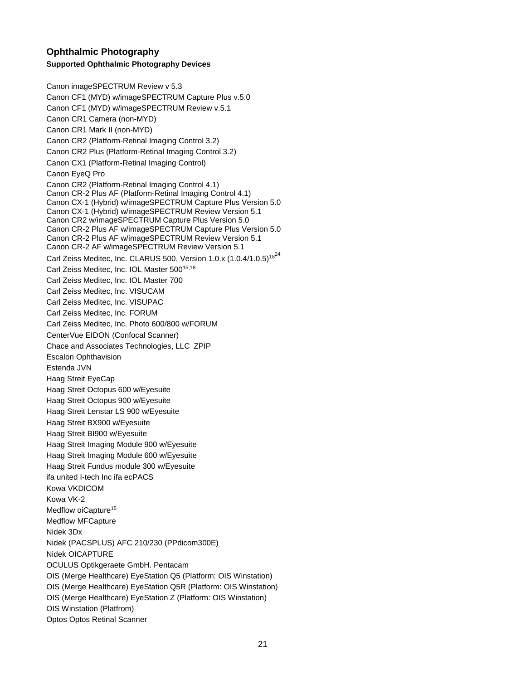# <span id="page-20-0"></span>**Ophthalmic Photography Supported Ophthalmic Photography Devices**

Canon imageSPECTRUM Review v 5.3 Canon CF1 (MYD) w/imageSPECTRUM Capture Plus v.5.0 Canon CF1 (MYD) w/imageSPECTRUM Review v.5.1 Canon CR1 Camera (non-MYD) Canon CR1 Mark II (non-MYD) Canon CR2 (Platform-Retinal Imaging Control 3.2) Canon CR2 Plus (Platform-Retinal Imaging Control 3.2) Canon CX1 (Platform-Retinal Imaging Control) Canon EyeQ Pro Canon CR2 (Platform-Retinal Imaging Control 4.1) Canon CR-2 Plus AF (Platform-Retinal Imaging Control 4.1) Canon CX-1 (Hybrid) w/imageSPECTRUM Capture Plus Version 5.0 Canon CX-1 (Hybrid) w/imageSPECTRUM Review Version 5.1 Canon CR2 w/imageSPECTRUM Capture Plus Version 5.0 Canon CR-2 Plus AF w/imageSPECTRUM Capture Plus Version 5.0 Canon CR-2 Plus AF w/imageSPECTRUM Review Version 5.1 Canon CR-2 AF w/imageSPECTRUM Review Version 5.1 Carl Zeiss Meditec, Inc. CLARUS 500, Version 1.0.x  $(1.0.4/1.0.5)^{18^{24}}$ Carl Zeiss Meditec, Inc. IOL Master 500<sup>15,18</sup> Carl Zeiss Meditec, Inc. IOL Master 700 Carl Zeiss Meditec, Inc. VISUCAM Carl Zeiss Meditec, Inc. VISUPAC Carl Zeiss Meditec, Inc. FORUM Carl Zeiss Meditec, Inc. Photo 600/800 w/FORUM CenterVue EIDON (Confocal Scanner) Chace and Associates Technologies, LLC ZPIP Escalon Ophthavision Estenda JVN Haag Streit EyeCap Haag Streit Octopus 600 w/Eyesuite Haag Streit Octopus 900 w/Eyesuite Haag Streit Lenstar LS 900 w/Eyesuite Haag Streit BX900 w/Eyesuite Haag Streit BI900 w/Eyesuite Haag Streit Imaging Module 900 w/Eyesuite Haag Streit Imaging Module 600 w/Eyesuite Haag Streit Fundus module 300 w/Eyesuite ifa united I-tech Inc ifa ecPACS Kowa VKDICOM Kowa VK-2 Medflow oiCapture<sup>15</sup> Medflow MFCapture Nidek 3Dx Nidek (PACSPLUS) AFC 210/230 (PPdicom300E) Nidek OICAPTURE OCULUS Optikgeraete GmbH. Pentacam OIS (Merge Healthcare) EyeStation Q5 (Platform: OIS Winstation) OIS (Merge Healthcare) EyeStation Q5R (Platform: OIS Winstation) OIS (Merge Healthcare) EyeStation Z (Platform: OIS Winstation) OIS Winstation (Platfrom) Optos Optos Retinal Scanner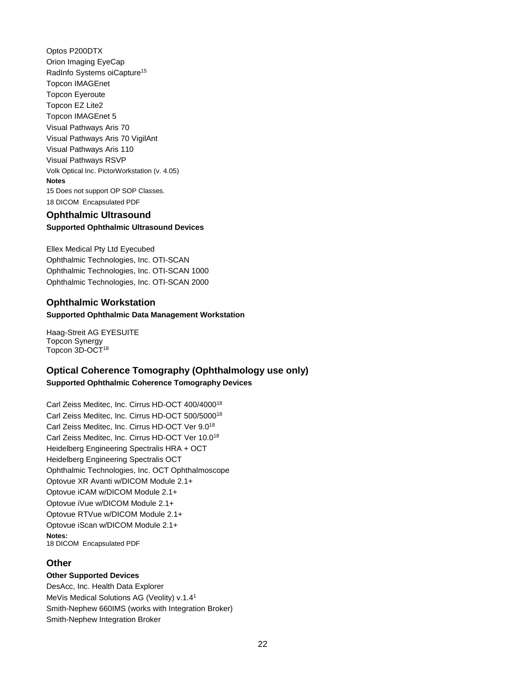Optos P200DTX Orion Imaging EyeCap RadInfo Systems oiCapture<sup>15</sup> Topcon IMAGEnet Topcon Eyeroute Topcon EZ Lite2 Topcon IMAGEnet 5 Visual Pathways Aris 70 Visual Pathways Aris 70 VigilAnt Visual Pathways Aris 110 Visual Pathways RSVP Volk Optical Inc. PictorWorkstation (v. 4.05) **Notes** 15 Does not support OP SOP Classes. 18 DICOM Encapsulated PDF

# <span id="page-21-0"></span>**Ophthalmic Ultrasound Supported Ophthalmic Ultrasound Devices**

Ellex Medical Pty Ltd Eyecubed Ophthalmic Technologies, Inc. OTI-SCAN Ophthalmic Technologies, Inc. OTI-SCAN 1000 Ophthalmic Technologies, Inc. OTI-SCAN 2000

# <span id="page-21-1"></span>**Ophthalmic Workstation Supported Ophthalmic Data Management Workstation**

Haag-Streit AG EYESUITE Topcon Synergy Topcon 3D-OCT<sup>18</sup>

# <span id="page-21-2"></span>**Optical Coherence Tomography (Ophthalmology use only) Supported Ophthalmic Coherence Tomography Devices**

Carl Zeiss Meditec, Inc. Cirrus HD-OCT 400/4000<sup>18</sup> Carl Zeiss Meditec, Inc. Cirrus HD-OCT 500/5000<sup>18</sup> Carl Zeiss Meditec, Inc. Cirrus HD-OCT Ver 9.0<sup>18</sup> Carl Zeiss Meditec, Inc. Cirrus HD-OCT Ver 10.0<sup>18</sup> Heidelberg Engineering Spectralis HRA + OCT Heidelberg Engineering Spectralis OCT Ophthalmic Technologies, Inc. OCT Ophthalmoscope Optovue XR Avanti w/DICOM Module 2.1+ Optovue iCAM w/DICOM Module 2.1+ Optovue iVue w/DICOM Module 2.1+ Optovue RTVue w/DICOM Module 2.1+ Optovue iScan w/DICOM Module 2.1+ **Notes:**  18 DICOM Encapsulated PDF

# <span id="page-21-3"></span>**Other**

**Other Supported Devices**

DesAcc, Inc. Health Data Explorer MeVis Medical Solutions AG (Veolity) v.1.4<sup>1</sup> Smith-Nephew 660IMS (works with Integration Broker) Smith-Nephew Integration Broker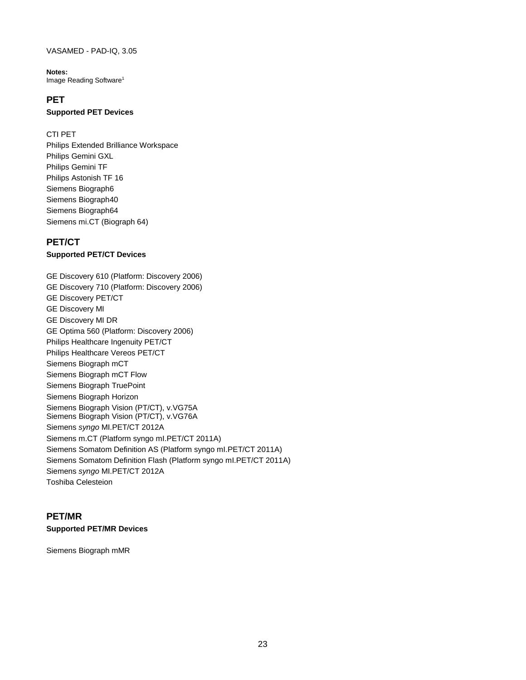#### VASAMED - PAD-IQ, 3.05

**Notes:**  Image Reading Software<sup>1</sup>

### <span id="page-22-0"></span>**PET**

#### **Supported PET Devices**

#### CTI PET

Philips Extended Brilliance Workspace Philips Gemini GXL Philips Gemini TF Philips Astonish TF 16 Siemens Biograph6 Siemens Biograph40 Siemens Biograph64 Siemens mi.CT (Biograph 64)

### <span id="page-22-1"></span>**PET/CT**

#### **Supported PET/CT Devices**

GE Discovery 610 (Platform: Discovery 2006) GE Discovery 710 (Platform: Discovery 2006) GE Discovery PET/CT GE Discovery MI GE Discovery MI DR GE Optima 560 (Platform: Discovery 2006) Philips Healthcare Ingenuity PET/CT Philips Healthcare Vereos PET/CT Siemens Biograph mCT Siemens Biograph mCT Flow Siemens Biograph TruePoint Siemens Biograph Horizon Siemens Biograph Vision (PT/CT), v.VG75A Siemens Biograph Vision (PT/CT), v.VG76A Siemens *syngo* MI.PET/CT 2012A Siemens m.CT (Platform syngo mI.PET/CT 2011A) Siemens Somatom Definition AS (Platform syngo mI.PET/CT 2011A) Siemens Somatom Definition Flash (Platform syngo mI.PET/CT 2011A) Siemens *syngo* MI.PET/CT 2012A Toshiba Celesteion

### <span id="page-22-2"></span>**PET/MR Supported PET/MR Devices**

Siemens Biograph mMR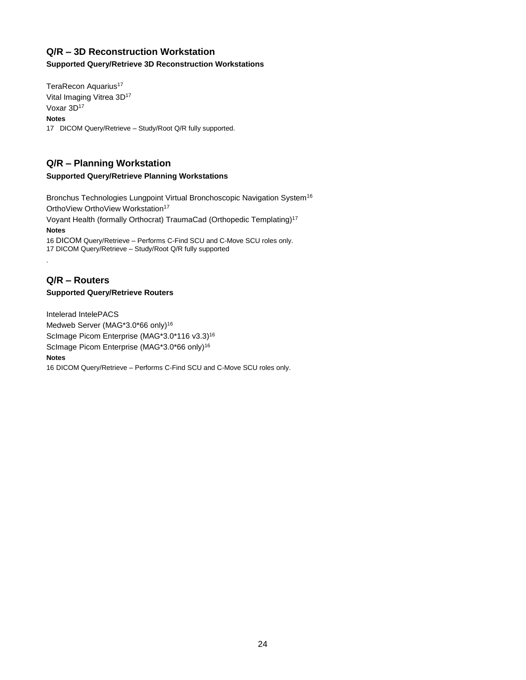# <span id="page-23-0"></span>**Q/R – 3D Reconstruction Workstation**

#### **Supported Query/Retrieve 3D Reconstruction Workstations**

TeraRecon Aquarius<sup>17</sup> Vital Imaging Vitrea 3D<sup>17</sup> Voxar 3D<sup>17</sup> **Notes** 17 DICOM Query/Retrieve – Study/Root Q/R fully supported.

# <span id="page-23-1"></span>**Q/R – Planning Workstation**

#### **Supported Query/Retrieve Planning Workstations**

Bronchus Technologies Lungpoint Virtual Bronchoscopic Navigation System<sup>16</sup> OrthoView OrthoView Workstation<sup>17</sup>

Voyant Health (formally Orthocrat) TraumaCad (Orthopedic Templating)<sup>17</sup> **Notes**

16 DICOM Query/Retrieve – Performs C-Find SCU and C-Move SCU roles only. 17 DICOM Query/Retrieve – Study/Root Q/R fully supported

### <span id="page-23-2"></span>**Q/R – Routers Supported Query/Retrieve Routers**

.

Intelerad IntelePACS Medweb Server (MAG\*3.0\*66 only)<sup>16</sup> ScImage Picom Enterprise (MAG\*3.0\*116 v3.3)<sup>16</sup> ScImage Picom Enterprise (MAG\*3.0\*66 only)<sup>16</sup> **Notes**

16 DICOM Query/Retrieve – Performs C-Find SCU and C-Move SCU roles only.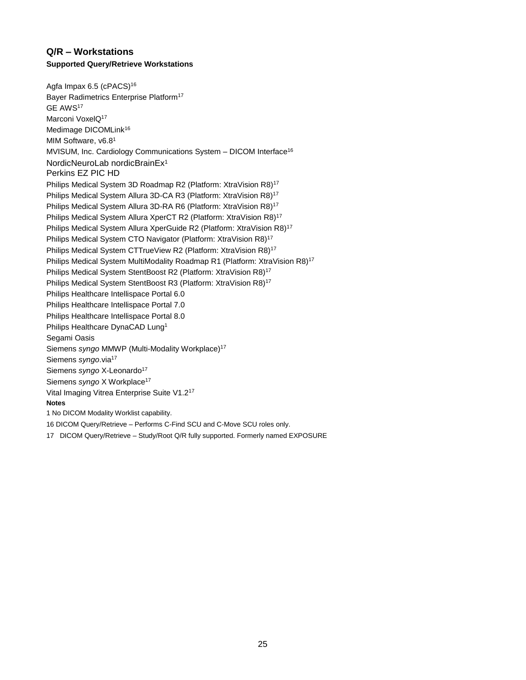# <span id="page-24-0"></span>**Q/R – Workstations Supported Query/Retrieve Workstations**

Agfa Impax 6.5 (cPACS)<sup>16</sup> Bayer Radimetrics Enterprise Platform<sup>17</sup> GE AWS<sup>17</sup> Marconi VoxelQ<sup>17</sup> Medimage DICOMLink<sup>16</sup> MIM Software, v6.8<sup>1</sup> MVISUM, Inc. Cardiology Communications System – DICOM Interface<sup>16</sup> NordicNeuroLab nordicBrainEx<sup>1</sup> Perkins EZ PIC HD Philips Medical System 3D Roadmap R2 (Platform: XtraVision R8)<sup>17</sup> Philips Medical System Allura 3D-CA R3 (Platform: XtraVision R8)<sup>17</sup> Philips Medical System Allura 3D-RA R6 (Platform: XtraVision R8)<sup>17</sup> Philips Medical System Allura XperCT R2 (Platform: XtraVision R8)<sup>17</sup> Philips Medical System Allura XperGuide R2 (Platform: XtraVision R8)<sup>17</sup> Philips Medical System CTO Navigator (Platform: XtraVision R8)<sup>17</sup> Philips Medical System CTTrueView R2 (Platform: XtraVision R8)<sup>17</sup> Philips Medical System MultiModality Roadmap R1 (Platform: XtraVision R8)<sup>17</sup> Philips Medical System StentBoost R2 (Platform: XtraVision R8)<sup>17</sup> Philips Medical System StentBoost R3 (Platform: XtraVision R8)<sup>17</sup> Philips Healthcare Intellispace Portal 6.0 Philips Healthcare Intellispace Portal 7.0 Philips Healthcare Intellispace Portal 8.0 Philips Healthcare DynaCAD Lung<sup>1</sup> Segami Oasis Siemens *syngo* MMWP (Multi-Modality Workplace)<sup>17</sup> Siemens *syngo*.via<sup>17</sup> Siemens *syngo* X-Leonardo<sup>17</sup> Siemens *syngo* X Workplace<sup>17</sup> Vital Imaging Vitrea Enterprise Suite V1.2<sup>17</sup> **Notes** 1 No DICOM Modality Worklist capability. 16 DICOM Query/Retrieve – Performs C-Find SCU and C-Move SCU roles only.

17 DICOM Query/Retrieve – Study/Root Q/R fully supported. Formerly named EXPOSURE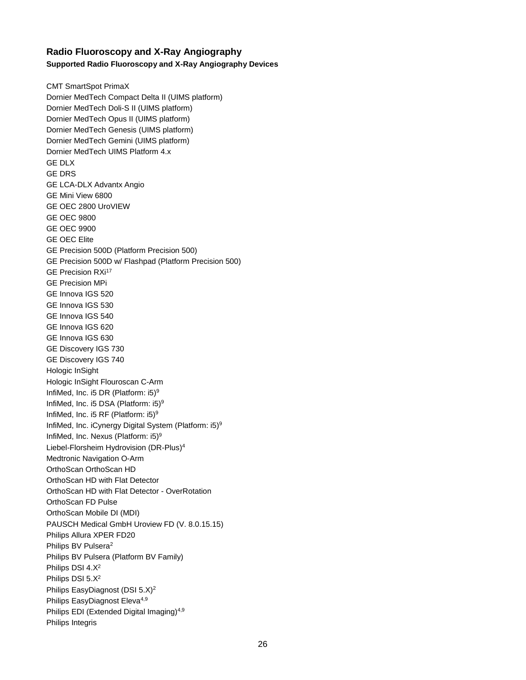# <span id="page-25-0"></span>**Radio Fluoroscopy and X-Ray Angiography Supported Radio Fluoroscopy and X-Ray Angiography Devices**

CMT SmartSpot PrimaX Dornier MedTech Compact Delta II (UIMS platform) Dornier MedTech Doli-S II (UIMS platform) Dornier MedTech Opus II (UIMS platform) Dornier MedTech Genesis (UIMS platform) Dornier MedTech Gemini (UIMS platform) Dornier MedTech UIMS Platform 4.x GE DLX GE DRS GE LCA-DLX Advantx Angio GE Mini View 6800 GE OEC 2800 UroVIEW GE OEC 9800 GE OEC 9900 GE OEC Elite GE Precision 500D (Platform Precision 500) GE Precision 500D w/ Flashpad (Platform Precision 500) GE Precision RXi<sup>17</sup> GE Precision MPi GE Innova IGS 520 GE Innova IGS 530 GE Innova IGS 540 GE Innova IGS 620 GE Innova IGS 630 GE Discovery IGS 730 GE Discovery IGS 740 Hologic InSight Hologic InSight Flouroscan C-Arm InfiMed, Inc. i5 DR (Platform: i5)<sup>9</sup> InfiMed, Inc. i5 DSA (Platform: i5)<sup>9</sup> InfiMed, Inc. i5 RF (Platform:  $i5$ )<sup>9</sup> InfiMed, Inc. iCynergy Digital System (Platform: i5)<sup>9</sup> InfiMed, Inc. Nexus (Platform: i5)<sup>9</sup> Liebel-Florsheim Hydrovision (DR-Plus)<sup>4</sup> Medtronic Navigation O-Arm OrthoScan OrthoScan HD OrthoScan HD with Flat Detector OrthoScan HD with Flat Detector - OverRotation OrthoScan FD Pulse OrthoScan Mobile DI (MDI) PAUSCH Medical GmbH Uroview FD (V. 8.0.15.15) Philips Allura XPER FD20 Philips BV Pulsera<sup>2</sup> Philips BV Pulsera (Platform BV Family) Philips DSI 4.X<sup>2</sup> Philips DSI 5.X<sup>2</sup> Philips EasyDiagnost (DSI 5.X)<sup>2</sup> Philips EasyDiagnost Eleva<sup>4,9</sup> Philips EDI (Extended Digital Imaging)<sup>4,9</sup> Philips Integris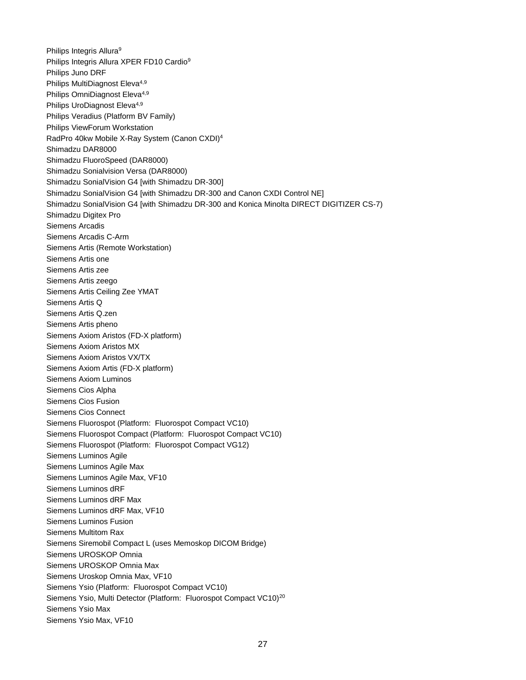Philips Integris Allura<sup>9</sup> Philips Integris Allura XPER FD10 Cardio<sup>9</sup> Philips Juno DRF Philips MultiDiagnost Eleva<sup>4,9</sup> Philips OmniDiagnost Eleva<sup>4,9</sup> Philips UroDiagnost Eleva<sup>4,9</sup> Philips Veradius (Platform BV Family) Philips ViewForum Workstation RadPro 40kw Mobile X-Ray System (Canon CXDI)<sup>4</sup> Shimadzu DAR8000 Shimadzu FluoroSpeed (DAR8000) Shimadzu Sonialvision Versa (DAR8000) Shimadzu SonialVision G4 [with Shimadzu DR-300] Shimadzu SonialVision G4 [with Shimadzu DR-300 and Canon CXDI Control NE] Shimadzu SonialVision G4 [with Shimadzu DR-300 and Konica Minolta DIRECT DIGITIZER CS-7) Shimadzu Digitex Pro Siemens Arcadis Siemens Arcadis C-Arm Siemens Artis (Remote Workstation) Siemens Artis one Siemens Artis zee Siemens Artis zeego Siemens Artis Ceiling Zee YMAT Siemens Artis Q Siemens Artis Q.zen Siemens Artis pheno Siemens Axiom Aristos (FD-X platform) Siemens Axiom Aristos MX Siemens Axiom Aristos VX/TX Siemens Axiom Artis (FD-X platform) Siemens Axiom Luminos Siemens Cios Alpha Siemens Cios Fusion Siemens Cios Connect Siemens Fluorospot (Platform: Fluorospot Compact VC10) Siemens Fluorospot Compact (Platform: Fluorospot Compact VC10) Siemens Fluorospot (Platform: Fluorospot Compact VG12) Siemens Luminos Agile Siemens Luminos Agile Max Siemens Luminos Agile Max, VF10 Siemens Luminos dRF Siemens Luminos dRF Max Siemens Luminos dRF Max, VF10 Siemens Luminos Fusion Siemens Multitom Rax Siemens Siremobil Compact L (uses Memoskop DICOM Bridge) Siemens UROSKOP Omnia Siemens UROSKOP Omnia Max Siemens Uroskop Omnia Max, VF10 Siemens Ysio (Platform: Fluorospot Compact VC10) Siemens Ysio, Multi Detector (Platform: Fluorospot Compact VC10)<sup>20</sup> Siemens Ysio Max Siemens Ysio Max, VF10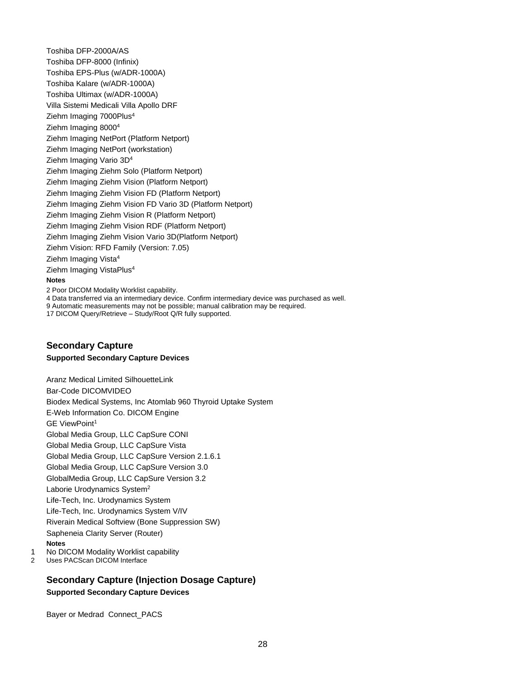Toshiba DFP-2000A/AS Toshiba DFP-8000 (Infinix) Toshiba EPS-Plus (w/ADR-1000A) Toshiba Kalare (w/ADR-1000A) Toshiba Ultimax (w/ADR-1000A) Villa Sistemi Medicali Villa Apollo DRF Ziehm Imaging 7000Plus<sup>4</sup> Ziehm Imaging 8000<sup>4</sup> Ziehm Imaging NetPort (Platform Netport) Ziehm Imaging NetPort (workstation) Ziehm Imaging Vario 3D<sup>4</sup> Ziehm Imaging Ziehm Solo (Platform Netport) Ziehm Imaging Ziehm Vision (Platform Netport) Ziehm Imaging Ziehm Vision FD (Platform Netport) Ziehm Imaging Ziehm Vision FD Vario 3D (Platform Netport) Ziehm Imaging Ziehm Vision R (Platform Netport) Ziehm Imaging Ziehm Vision RDF (Platform Netport) Ziehm Imaging Ziehm Vision Vario 3D(Platform Netport) Ziehm Vision: RFD Family (Version: 7.05) Ziehm Imaging Vista<sup>4</sup> Ziehm Imaging VistaPlus<sup>4</sup> **Notes** 2 Poor DICOM Modality Worklist capability.

4 Data transferred via an intermediary device. Confirm intermediary device was purchased as well. 9 Automatic measurements may not be possible; manual calibration may be required.

17 DICOM Query/Retrieve – Study/Root Q/R fully supported.

#### <span id="page-27-0"></span>**Secondary Capture Supported Secondary Capture Devices**

Aranz Medical Limited SilhouetteLink Bar-Code DICOMVIDEO Biodex Medical Systems, Inc Atomlab 960 Thyroid Uptake System E-Web Information Co. DICOM Engine GE ViewPoint<sup>1</sup> Global Media Group, LLC CapSure CONI Global Media Group, LLC CapSure Vista Global Media Group, LLC CapSure Version 2.1.6.1 Global Media Group, LLC CapSure Version 3.0 GlobalMedia Group, LLC CapSure Version 3.2 Laborie Urodynamics System<sup>2</sup> Life-Tech, Inc. Urodynamics System Life-Tech, Inc. Urodynamics System V/IV Riverain Medical Softview (Bone Suppression SW) Sapheneia Clarity Server (Router) **Notes** 1 No DICOM Modality Worklist capability

2 Uses PACScan DICOM Interface

### <span id="page-27-1"></span>**Secondary Capture (Injection Dosage Capture) Supported Secondary Capture Devices**

Bayer or Medrad Connect\_PACS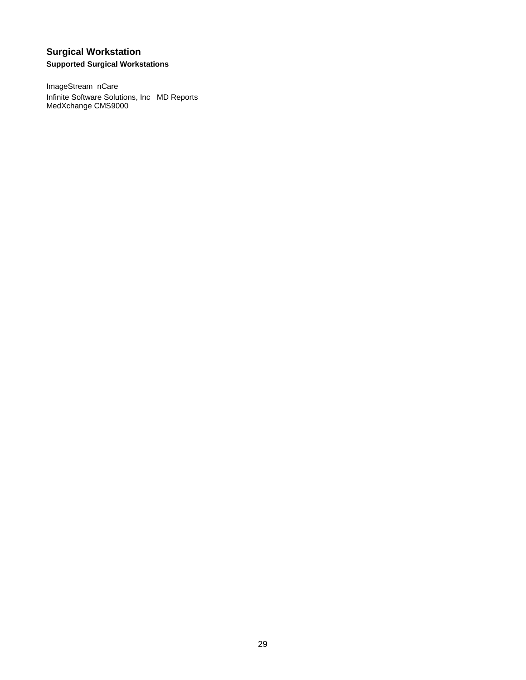# <span id="page-28-0"></span>**Surgical Workstation Supported Surgical Workstations**

ImageStream nCare Infinite Software Solutions, Inc MD Reports MedXchange CMS9000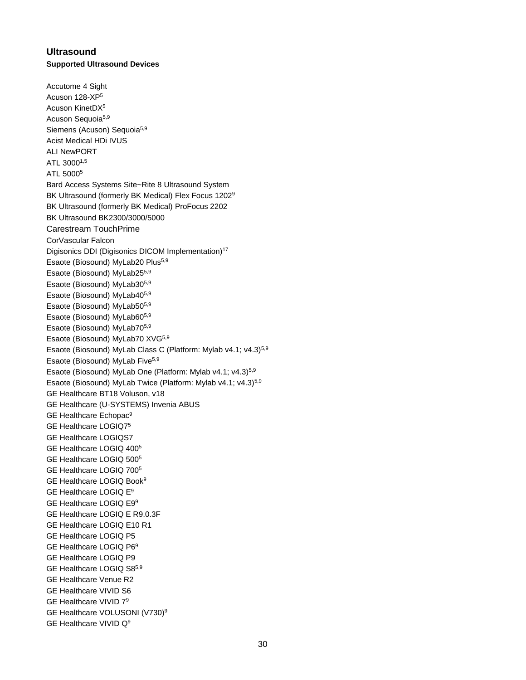# <span id="page-29-0"></span>**Ultrasound Supported Ultrasound Devices**

Accutome 4 Sight Acuson 128-XP<sup>5</sup> Acuson KinetDX<sup>5</sup> Acuson Sequoia<sup>5,9</sup> Siemens (Acuson) Sequoia<sup>5,9</sup> Acist Medical HDi IVUS ALI NewPORT ATL 30001,5 ATL 5000<sup>5</sup> Bard Access Systems Site~Rite 8 Ultrasound System BK Ultrasound (formerly BK Medical) Flex Focus 1202<sup>9</sup> BK Ultrasound (formerly BK Medical) ProFocus 2202 BK Ultrasound BK2300/3000/5000 Carestream TouchPrime CorVascular Falcon Digisonics DDI (Digisonics DICOM Implementation)<sup>17</sup> Esaote (Biosound) MyLab20 Plus<sup>5,9</sup> Esaote (Biosound) MyLab255,9 Esaote (Biosound) MyLab305,9 Esaote (Biosound) MyLab405,9 Esaote (Biosound) MyLab505,9 Esaote (Biosound) MyLab605,9 Esaote (Biosound) MyLab705,9 Esaote (Biosound) MyLab70 XVG5,9 Esaote (Biosound) MyLab Class C (Platform: Mylab v4.1; v4.3)<sup>5,9</sup> Esaote (Biosound) MyLab Five<sup>5,9</sup> Esaote (Biosound) MyLab One (Platform: Mylab v4.1; v4.3)<sup>5,9</sup> Esaote (Biosound) MyLab Twice (Platform: Mylab v4.1; v4.3)5,9 GE Healthcare BT18 Voluson, v18 GE Healthcare (U-SYSTEMS) Invenia ABUS GE Healthcare Echopac<sup>9</sup> GE Healthcare LOGIQ7 5 GE Healthcare LOGIQS7 GE Healthcare LOGIQ 400<sup>5</sup> GE Healthcare LOGIQ 500<sup>5</sup> GE Healthcare LOGIQ 700<sup>5</sup> GE Healthcare LOGIQ Book<sup>9</sup> GE Healthcare LOGIQ E<sup>9</sup> GE Healthcare LOGIQ E9<sup>9</sup> GE Healthcare LOGIQ E R9.0.3F GE Healthcare LOGIQ E10 R1 GE Healthcare LOGIQ P5 GE Healthcare LOGIQ P6<sup>9</sup> GE Healthcare LOGIQ P9 GE Healthcare LOGIQ S85,9 GE Healthcare Venue R2 GE Healthcare VIVID S6 GE Healthcare VIVID 7<sup>9</sup> GE Healthcare VOLUSONI (V730)<sup>9</sup> GE Healthcare VIVID Q<sup>9</sup>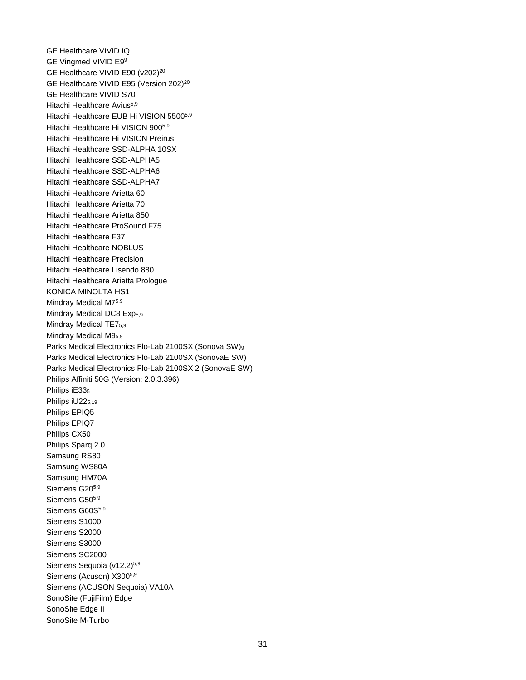GE Healthcare VIVID IQ GE Vingmed VIVID E9<sup>9</sup> GE Healthcare VIVID E90 (v202)<sup>20</sup> GE Healthcare VIVID E95 (Version 202)<sup>20</sup> GE Healthcare VIVID S70 Hitachi Healthcare Avius<sup>5,9</sup> Hitachi Healthcare EUB Hi VISION 55005,9 Hitachi Healthcare Hi VISION 9005,9 Hitachi Healthcare Hi VISION Preirus Hitachi Healthcare SSD-ALPHA 10SX Hitachi Healthcare SSD-ALPHA5 Hitachi Healthcare SSD-ALPHA6 Hitachi Healthcare SSD-ALPHA7 Hitachi Healthcare Arietta 60 Hitachi Healthcare Arietta 70 Hitachi Healthcare Arietta 850 Hitachi Healthcare ProSound F75 Hitachi Healthcare F37 Hitachi Healthcare NOBLUS Hitachi Healthcare Precision Hitachi Healthcare Lisendo 880 Hitachi Healthcare Arietta Prologue KONICA MINOLTA HS1 Mindray Medical M75,9 Mindray Medical DC8 Exp<sub>5,9</sub> Mindray Medical TE75.9 Mindray Medical M9<sub>5.9</sub> Parks Medical Electronics Flo-Lab 2100SX (Sonova SW)<sup>9</sup> Parks Medical Electronics Flo-Lab 2100SX (SonovaE SW) Parks Medical Electronics Flo-Lab 2100SX 2 (SonovaE SW) Philips Affiniti 50G (Version: 2.0.3.396) Philips iE33<sub>5</sub> Philips iU22<sub>5.19</sub> Philips EPIQ5 Philips EPIQ7 Philips CX50 Philips Sparq 2.0 Samsung RS80 Samsung WS80A Samsung HM70A Siemens G205,9 Siemens G50<sup>5,9</sup> Siemens G60S<sup>5,9</sup> Siemens S1000 Siemens S2000 Siemens S3000 Siemens SC2000 Siemens Sequoia (v12.2)<sup>5,9</sup> Siemens (Acuson) X300<sup>5,9</sup> Siemens (ACUSON Sequoia) VA10A SonoSite (FujiFilm) Edge SonoSite Edge II SonoSite M-Turbo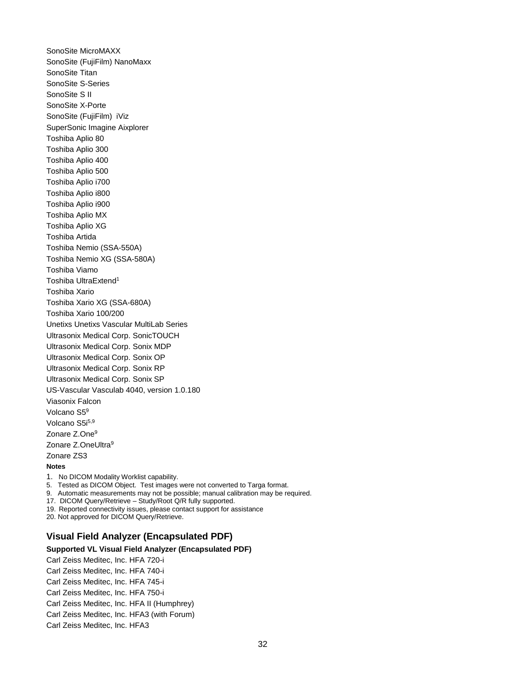SonoSite MicroMAXX SonoSite (FujiFilm) NanoMaxx SonoSite Titan SonoSite S-Series SonoSite S II SonoSite X-Porte SonoSite (FujiFilm) iViz SuperSonic Imagine Aixplorer Toshiba Aplio 80 Toshiba Aplio 300 Toshiba Aplio 400 Toshiba Aplio 500 Toshiba Aplio i700 Toshiba Aplio i800 Toshiba Aplio i900 Toshiba Aplio MX Toshiba Aplio XG Toshiba Artida Toshiba Nemio (SSA-550A) Toshiba Nemio XG (SSA-580A) Toshiba Viamo Toshiba UltraExtend<sup>1</sup> Toshiba Xario Toshiba Xario XG (SSA-680A) Toshiba Xario 100/200 Unetixs Unetixs Vascular MultiLab Series Ultrasonix Medical Corp. SonicTOUCH Ultrasonix Medical Corp. Sonix MDP Ultrasonix Medical Corp. Sonix OP Ultrasonix Medical Corp. Sonix RP Ultrasonix Medical Corp. Sonix SP US-Vascular Vasculab 4040, version 1.0.180 Viasonix Falcon Volcano S5<sup>9</sup> Volcano S5i5,9 Zonare Z.One<sup>9</sup> Zonare Z.OneUltra<sup>9</sup> Zonare ZS3 **Notes**

1. No DICOM Modality Worklist capability. 5. Tested as DICOM Object. Test images were not converted to Targa format.

9. Automatic measurements may not be possible; manual calibration may be required.

17. DICOM Query/Retrieve – Study/Root Q/R fully supported.

19. Reported connectivity issues, please contact support for assistance

<span id="page-31-0"></span>20. Not approved for DICOM Query/Retrieve.

#### **Visual Field Analyzer (Encapsulated PDF)**

#### **Supported VL Visual Field Analyzer (Encapsulated PDF)**

Carl Zeiss Meditec, Inc. HFA 720-i Carl Zeiss Meditec, Inc. HFA 740-i Carl Zeiss Meditec, Inc. HFA 745-i Carl Zeiss Meditec, Inc. HFA 750-i Carl Zeiss Meditec, Inc. HFA II (Humphrey) Carl Zeiss Meditec, Inc. HFA3 (with Forum) Carl Zeiss Meditec, Inc. HFA3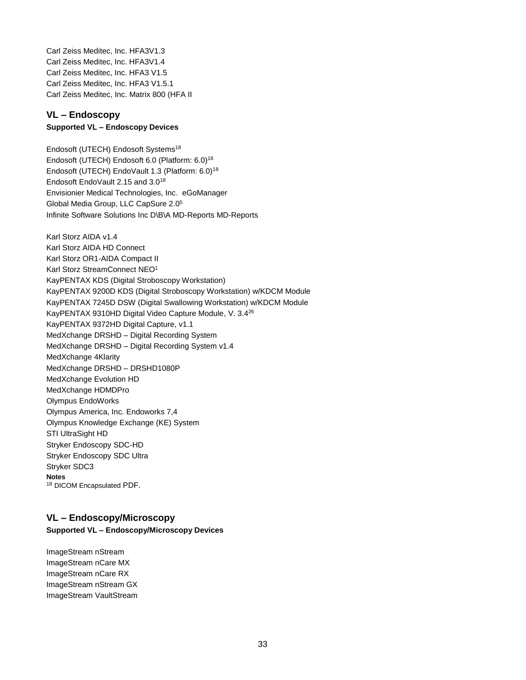Carl Zeiss Meditec, Inc. HFA3V1.3 Carl Zeiss Meditec, Inc. HFA3V1.4 Carl Zeiss Meditec, Inc. HFA3 V1.5 Carl Zeiss Meditec, Inc. HFA3 V1.5.1 Carl Zeiss Meditec, Inc. Matrix 800 (HFA II

# <span id="page-32-0"></span>**VL – Endoscopy**

### **Supported VL – Endoscopy Devices**

Endosoft (UTECH) Endosoft Systems<sup>18</sup> Endosoft (UTECH) Endosoft 6.0 (Platform: 6.0)<sup>18</sup> Endosoft (UTECH) EndoVault 1.3 (Platform: 6.0)<sup>18</sup> Endosoft EndoVault 2.15 and 3.0<sup>18</sup> Envisionier Medical Technologies, Inc. eGoManager Global Media Group, LLC CapSure 2.0<sup>5</sup> Infinite Software Solutions Inc D\B\A MD-Reports MD-Reports

Karl Storz AIDA v1.4 Karl Storz AIDA HD Connect Karl Storz OR1-AIDA Compact II Karl Storz StreamConnect NEO<sup>1</sup> KayPENTAX KDS (Digital Stroboscopy Workstation) KayPENTAX 9200D KDS (Digital Stroboscopy Workstation) w/KDCM Module KayPENTAX 7245D DSW (Digital Swallowing Workstation) w/KDCM Module KayPENTAX 9310HD Digital Video Capture Module, V. 3.4<sup>26</sup> KayPENTAX 9372HD Digital Capture, v1.1 MedXchange DRSHD – Digital Recording System MedXchange DRSHD – Digital Recording System v1.4 MedXchange 4Klarity MedXchange DRSHD – DRSHD1080P MedXchange Evolution HD MedXchange HDMDPro Olympus EndoWorks Olympus America, Inc. Endoworks 7,4 Olympus Knowledge Exchange (KE) System STI UltraSight HD Stryker Endoscopy SDC-HD Stryker Endoscopy SDC Ultra Stryker SDC3 **Notes** <sup>18</sup> DICOM Encapsulated PDF.

### <span id="page-32-1"></span>**VL – Endoscopy/Microscopy**

#### **Supported VL – Endoscopy/Microscopy Devices**

ImageStream nStream ImageStream nCare MX ImageStream nCare RX ImageStream nStream GX ImageStream VaultStream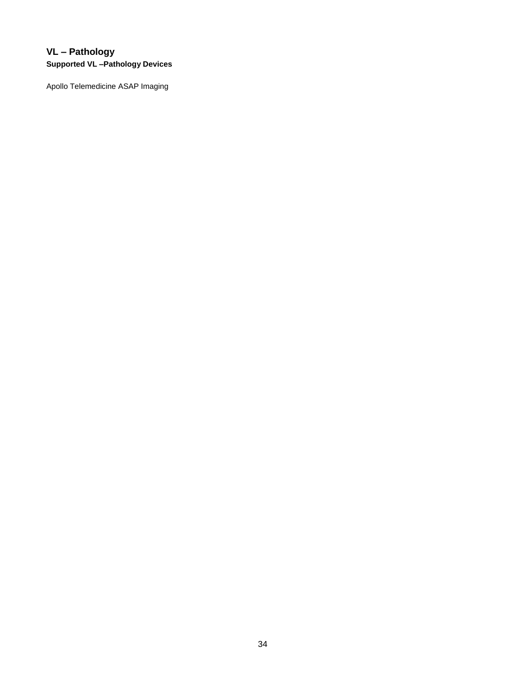# <span id="page-33-0"></span>**VL – Pathology Supported VL –Pathology Devices**

Apollo Telemedicine ASAP Imaging